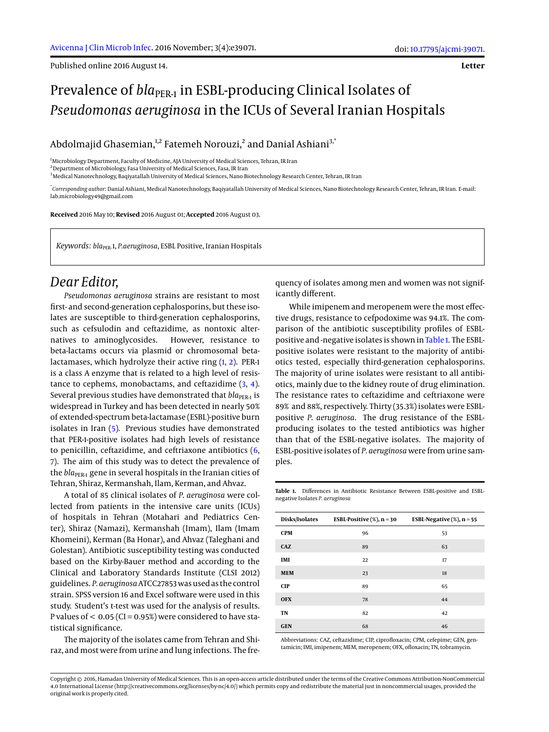Published online 2016 August 14.

#### **Letter**

# Prevalence of *bla*<sub>PER-1</sub> in ESBL-producing Clinical Isolates of *Pseudomonas aeruginosa* in the ICUs of Several Iranian Hospitals

Abdolmajid Ghasemian, $^{\rm 1,2}$  Fatemeh Norouzi, $^{\rm 2}$  and Danial Ashiani $^{\rm 3,^\ast}$ 

<sup>1</sup>Microbiology Department, Faculty of Medicine, AJA University of Medical Sciences, Tehran, IR Iran

<sup>2</sup>Department of Microbiology, Fasa University of Medical Sciences, Fasa, IR Iran

<sup>3</sup>Medical Nanotechnology, Baqiyatallah University of Medical Sciences, Nano Biotechnology Research Center, Tehran, IR Iran

\* *Corresponding author*: Danial Ashiani, Medical Nanotechnology, Baqiyatallah University of Medical Sciences, Nano Biotechnology Research Center, Tehran, IR Iran. E-mail: lab.microbiology49@gmail.com

**Received** 2016 May 10; **Revised** 2016 August 01; **Accepted** 2016 August 03.

*Keywords: bla*PER-1, *P.aeruginosa*, ESBL Positive, Iranian Hospitals

# *Dear Editor,*

*Pseudomonas aeruginosa* strains are resistant to most first- and second-generation cephalosporins, but these isolates are susceptible to third-generation cephalosporins, such as cefsulodin and ceftazidime, as nontoxic alternatives to aminoglycosides. However, resistance to beta-lactams occurs via plasmid or chromosomal betalactamases, which hydrolyze their active ring [\(1,](#page-1-0) [2\)](#page-1-1). PER-1 is a class A enzyme that is related to a high level of resistance to cephems, monobactams, and ceftazidime [\(3,](#page-1-2) [4\)](#page-1-3). Several previous studies have demonstrated that *bla*<sub>PER-1</sub> is widespread in Turkey and has been detected in nearly 50% of extended-spectrum beta-lactamase (ESBL)-positive burn isolates in Iran [\(5\)](#page-1-4). Previous studies have demonstrated that PER-1-positive isolates had high levels of resistance to penicillin, ceftazidime, and ceftriaxone antibiotics [\(6,](#page-1-5) [7\)](#page-1-6). The aim of this study was to detect the prevalence of the *bla*<sub>PER-1</sub> gene in several hospitals in the Iranian cities of Tehran, Shiraz, Kermanshah, Ilam, Kerman, and Ahvaz.

A total of 85 clinical isolates of *P. aeruginosa* were collected from patients in the intensive care units (ICUs) of hospitals in Tehran (Motahari and Pediatrics Center), Shiraz (Namazi), Kermanshah (Imam), Ilam (Imam Khomeini), Kerman (Ba Honar), and Ahvaz (Taleghani and Golestan). Antibiotic susceptibility testing was conducted based on the Kirby-Bauer method and according to the Clinical and Laboratory Standards Institute (CLSI 2012) guidelines. *P. aeruginosa*ATCC27853 was used as the control strain. SPSS version 16 and Excel software were used in this study. Student's t-test was used for the analysis of results. P values of  $< 0.05$  (CI = 0.95%) were considered to have statistical significance.

The majority of the isolates came from Tehran and Shiraz, and most were from urine and lung infections. The fre-

quency of isolates among men and women was not significantly different.

While imipenem and meropenem were the most effective drugs, resistance to cefpodoxime was 94.1%. The comparison of the antibiotic susceptibility profiles of ESBLpositive and -negative isolates is shown in [Table 1.](#page-0-0) The ESBLpositive isolates were resistant to the majority of antibiotics tested, especially third-generation cephalosporins. The majority of urine isolates were resistant to all antibiotics, mainly due to the kidney route of drug elimination. The resistance rates to ceftazidime and ceftriaxone were 89% and 88%, respectively. Thirty (35.3%) isolates were ESBLpositive *P. aeruginosa*. The drug resistance of the ESBLproducing isolates to the tested antibiotics was higher than that of the ESBL-negative isolates. The majority of ESBL-positive isolates of *P. aeruginosa* were from urine samples.

<span id="page-0-0"></span>**Table 1.** Differences in Antibiotic Resistance Between ESBL-positive and ESBLnegative Isolates *P. aeruginosa*

| Disks/Isolates | ESBL-Positive $(\%)$ , n = 30 | ESBL-Negative $(\%)$ , n = 55 |
|----------------|-------------------------------|-------------------------------|
| <b>CPM</b>     | 96                            | 53                            |
| CAZ            | 89                            | 63                            |
| IMI            | 22                            | 17                            |
| <b>MEM</b>     | 23                            | 18                            |
| <b>CIP</b>     | 89                            | 65                            |
| <b>OFX</b>     | 78                            | 44                            |
| <b>TN</b>      | 82                            | 42                            |
| <b>GEN</b>     | 68                            | 46                            |

Abbreviations: CAZ, ceftazidime; CIP, ciprofloxacin; CPM, cefepime; GEN, gentamicin; IMI, imipenem; MEM, meropenem; OFX, ofloxacin; TN, tobramycin.

Copyright © 2016, Hamadan University of Medical Sciences. This is an open-access article distributed under the terms of the Creative Commons Attribution-NonCommercial 4.0 International License (http://creativecommons.org/licenses/by-nc/4.0/) which permits copy and redistribute the material just in noncommercial usages, provided the original work is properly cited.